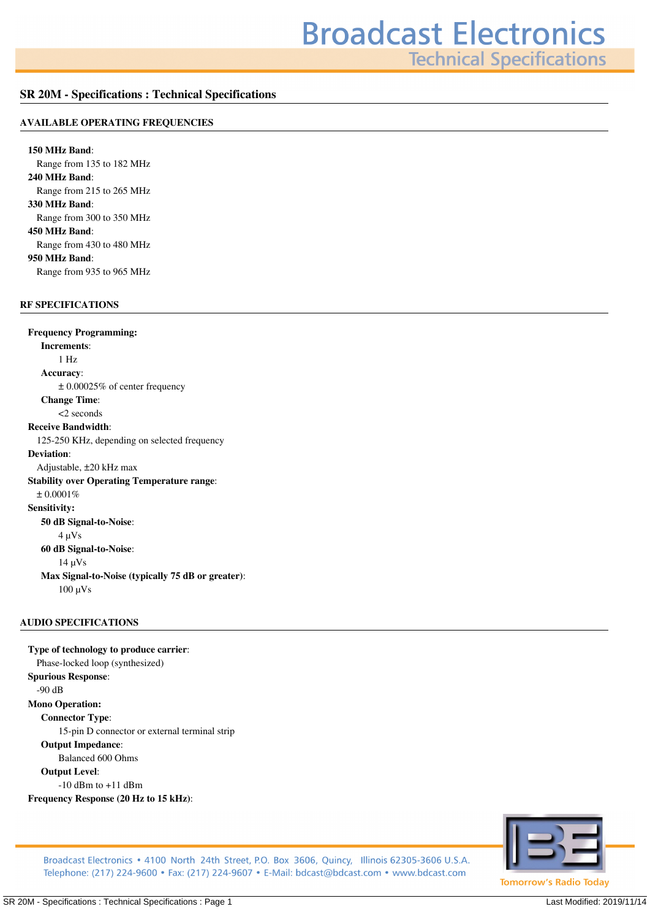**Technical Specifications** 

## **SR 20M - Specifications : Technical Specifications**

#### **AVAILABLE OPERATING FREQUENCIES**

**150 MHz Band***: Range from 135 to 182 MHz* **240 MHz Band***: Range from 215 to 265 MHz* **330 MHz Band***: Range from 300 to 350 MHz* **450 MHz Band***: Range from 430 to 480 MHz* **950 MHz Band***: Range from 935 to 965 MHz*

## **RF SPECIFICATIONS**

**Frequency Programming: Increments***: 1 Hz* **Accuracy***: ± 0.00025% of center frequency* **Change Time***: <2 seconds* **Receive Bandwidth***: 125-250 KHz, depending on selected frequency* **Deviation***: Adjustable, ±20 kHz max* **Stability over Operating Temperature range***: ± 0.0001%* **Sensitivity: 50 dB Signal-to-Noise***: 4 µVs* **60 dB Signal-to-Noise***: 14 µVs* **Max Signal-to-Noise (typically 75 dB or greater)***: 100 µVs*

#### **AUDIO SPECIFICATIONS**

**Type of technology to produce carrier***: Phase-locked loop (synthesized)* **Spurious Response***: -90 dB* **Mono Operation: Connector Type***: 15-pin D connector or external terminal strip* **Output Impedance***: Balanced 600 Ohms* **Output Level***: -10 dBm to +11 dBm* **Frequency Response (20 Hz to 15 kHz)***:*



Broadcast Electronics • 4100 North 24th Street, P.O. Box 3606, Quincy, Illinois 62305-3606 U.S.A. Telephone: (217) 224-9600 • Fax: (217) 224-9607 • E-Mail: bdcast@bdcast.com • www.bdcast.com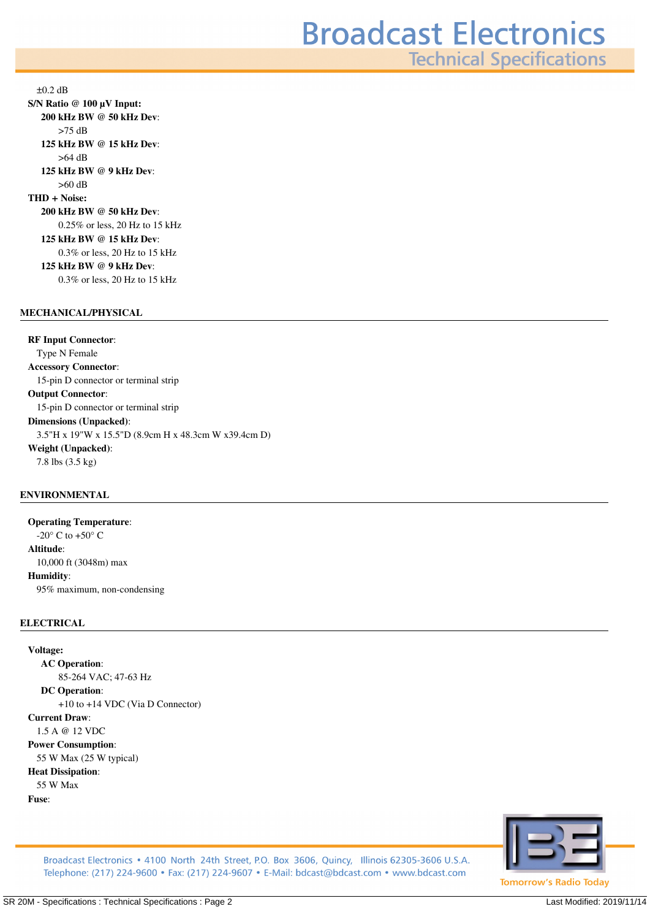**Technical Specifications** 

*±0.2 dB* **S/N Ratio @ 100 µV Input: 200 kHz BW @ 50 kHz Dev***: >75 dB* **125 kHz BW @ 15 kHz Dev***: >64 dB* **125 kHz BW @ 9 kHz Dev***: >60 dB* **THD + Noise: 200 kHz BW @ 50 kHz Dev***: 0.25% or less, 20 Hz to 15 kHz* **125 kHz BW @ 15 kHz Dev***: 0.3% or less, 20 Hz to 15 kHz* **125 kHz BW @ 9 kHz Dev***: 0.3% or less, 20 Hz to 15 kHz*

### **MECHANICAL/PHYSICAL**

**RF Input Connector***: Type N Female* **Accessory Connector***: 15-pin D connector or terminal strip* **Output Connector***: 15-pin D connector or terminal strip* **Dimensions (Unpacked)***: 3.5"H x 19"W x 15.5"D (8.9cm H x 48.3cm W x39.4cm D)* **Weight (Unpacked)***: 7.8 lbs (3.5 kg)*

# **ENVIRONMENTAL**

**Operating Temperature***: -20° C to +50° C* **Altitude***: 10,000 ft (3048m) max* **Humidity***: 95% maximum, non-condensing*

## **ELECTRICAL**

**Voltage: AC Operation***: 85-264 VAC; 47-63 Hz* **DC Operation***: +10 to +14 VDC (Via D Connector)* **Current Draw***: 1.5 A @ 12 VDC* **Power Consumption***: 55 W Max (25 W typical)* **Heat Dissipation***: 55 W Max* **Fuse***:*



Broadcast Electronics • 4100 North 24th Street, P.O. Box 3606, Quincy, Illinois 62305-3606 U.S.A. Telephone: (217) 224-9600 • Fax: (217) 224-9607 • E-Mail: bdcast@bdcast.com • www.bdcast.com